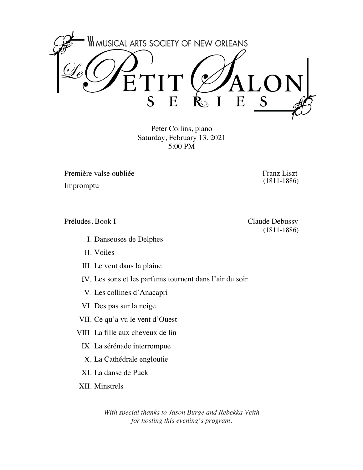

Peter Collins, piano Saturday, February 13, 2021 5:00 PM

Première valse oubliée Franz Liszt

Impromptu

Préludes, Book I Claude Debussy

- I. Danseuses de Delphes
- Voiles II.
- III. Le vent dans la plaine
- IV. Les sons et les parfums tournent dans l'air du soir
	- V. Les collines d'Anacapri
- VI. Des pas sur la neige
- VII. Ce qu'a vu le vent d'Ouest
- VIII. La fille aux cheveux de lin
	- IX. La sérénade interrompue
	- La Cathédrale engloutie X.
	- XI. La danse de Puck
- XII. Minstrels

*With special thanks to Jason Burge and Rebekka Veith for hosting this evening's program.*

(1811-1886)

(1811-1886)